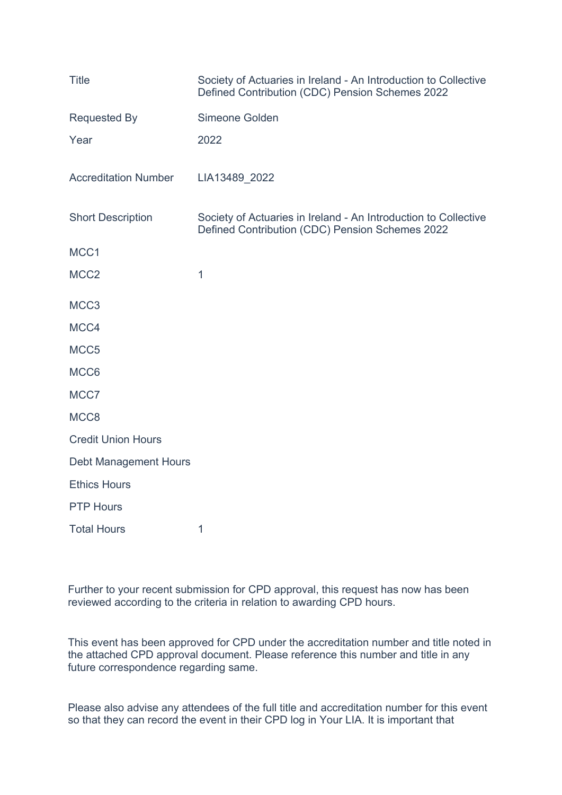| <b>Title</b>                 | Society of Actuaries in Ireland - An Introduction to Collective<br>Defined Contribution (CDC) Pension Schemes 2022 |
|------------------------------|--------------------------------------------------------------------------------------------------------------------|
| <b>Requested By</b>          | Simeone Golden                                                                                                     |
| Year                         | 2022                                                                                                               |
| <b>Accreditation Number</b>  | LIA13489_2022                                                                                                      |
| <b>Short Description</b>     | Society of Actuaries in Ireland - An Introduction to Collective<br>Defined Contribution (CDC) Pension Schemes 2022 |
| MCC1                         |                                                                                                                    |
| MCC <sub>2</sub>             | 1                                                                                                                  |
| MCC <sub>3</sub>             |                                                                                                                    |
| MCC4                         |                                                                                                                    |
| MCC <sub>5</sub>             |                                                                                                                    |
| MCC6                         |                                                                                                                    |
| MCC7                         |                                                                                                                    |
| MCC8                         |                                                                                                                    |
| <b>Credit Union Hours</b>    |                                                                                                                    |
| <b>Debt Management Hours</b> |                                                                                                                    |
| <b>Ethics Hours</b>          |                                                                                                                    |
| <b>PTP Hours</b>             |                                                                                                                    |
| <b>Total Hours</b>           | 1                                                                                                                  |

Further to your recent submission for CPD approval, this request has now has been reviewed according to the criteria in relation to awarding CPD hours.

This event has been approved for CPD under the accreditation number and title noted in the attached CPD approval document. Please reference this number and title in any future correspondence regarding same.

Please also advise any attendees of the full title and accreditation number for this event so that they can record the event in their CPD log in Your LIA. It is important that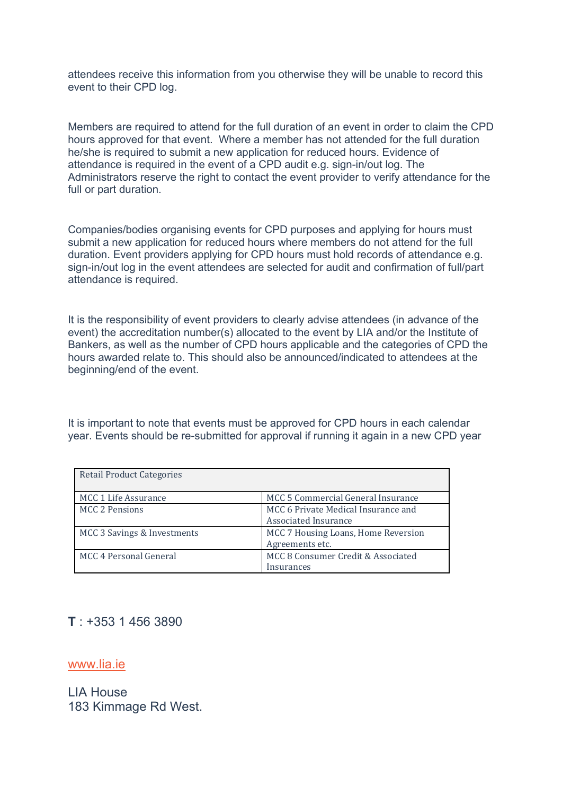attendees receive this information from you otherwise they will be unable to record this event to their CPD log.

Members are required to attend for the full duration of an event in order to claim the CPD hours approved for that event. Where a member has not attended for the full duration he/she is required to submit a new application for reduced hours. Evidence of attendance is required in the event of a CPD audit e.g. sign-in/out log. The Administrators reserve the right to contact the event provider to verify attendance for the full or part duration.

Companies/bodies organising events for CPD purposes and applying for hours must submit a new application for reduced hours where members do not attend for the full duration. Event providers applying for CPD hours must hold records of attendance e.g. sign-in/out log in the event attendees are selected for audit and confirmation of full/part attendance is required.

It is the responsibility of event providers to clearly advise attendees (in advance of the event) the accreditation number(s) allocated to the event by LIA and/or the Institute of Bankers, as well as the number of CPD hours applicable and the categories of CPD the hours awarded relate to. This should also be announced/indicated to attendees at the beginning/end of the event.

It is important to note that events must be approved for CPD hours in each calendar year. Events should be re-submitted for approval if running it again in a new CPD year

| <b>Retail Product Categories</b> |                                     |
|----------------------------------|-------------------------------------|
| MCC 1 Life Assurance             | MCC 5 Commercial General Insurance  |
| <b>MCC 2 Pensions</b>            | MCC 6 Private Medical Insurance and |
|                                  | <b>Associated Insurance</b>         |
| MCC 3 Savings & Investments      | MCC 7 Housing Loans, Home Reversion |
|                                  | Agreements etc.                     |
| MCC 4 Personal General           | MCC 8 Consumer Credit & Associated  |
|                                  | Insurances                          |

## **T** : +353 1 456 3890

[www.lia.ie](https://www.lia.ie/)

LIA House 183 Kimmage Rd West.